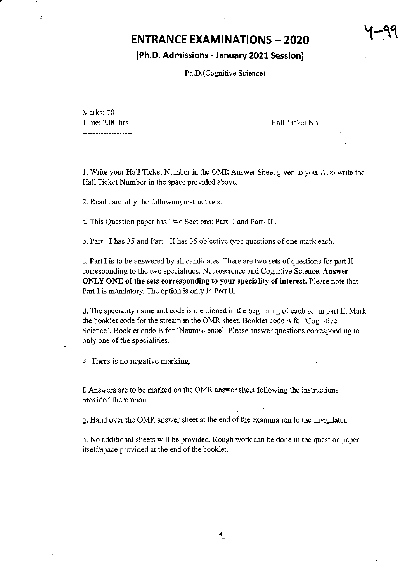## ENTRANCE EXAMINATIONS - 2O2O

#### (Ph,D, Admissions - January 2021 Session)

Ph.D.(Cognitive Science)

Marks: 70 Time: 2.00 hrs. -----------**---**-----

Hall Ticket No.

y-99

L Write your Hall Ticket Number in the OMRAnswer Sheet given to you. Also write the Hall Ticket Number in the space provided above.

2. Read carefully the following instroctions:

a. This Question paper has Two Sections: Part- I and Part- II.

b. Part - I has 35 and Part - II has 35 objective type questions of one mark each.

c. Part I is to be answered by all candidates. There are two sets of questions for part II corresponding to the two specialities: Neuroscience and Cognitive Science. Answer ONLY ONE of the sets corresponding to your speciality of interest. Please note that Part I is mandatory. The option is only in Part II.

d. The speciality name and code is mentioned in the beginning ofeach set in part II. Mark the booklet code for the steam in the OMR sheet. Booklet code A for 'Cognitive Science'. Booklet code B for 'Neuroscience'. Please answer questions corresponding to only one of the specialities.

e. There is no negative marking.  $\mathcal{T} = \mathcal{T} \times \mathcal{T} \times \mathcal{S} \times \mathcal{S} \times \mathcal{S}$ 

f. Answers are to be marked on the OMR answer sheet following the instructions provided there upon.

g. Hand over the OMR answer sheet at the end of the examination to the Invigilator.

h. No additional sheets will be provided. Rough work can be done in the question paper itself/space provided at the end of the booklet.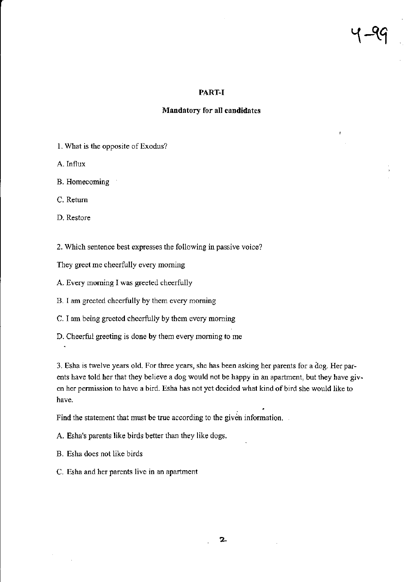#### PART-I

#### Mandatory for all candidates

1. What is the opposite of Exodus?

A.Influx

B. Homecoming

C. Retum

D. Restore

 $\hat{\textbf{z}}$ 

2. Which sentence best expresses the following in passive voice?

They greet me cheerfully every morning

- A. Every morning I was greeted cheerfully
- B. I am greeted cheerfully by them every morning
- C. T am being greered cheerftilly by rhem every moming
- D. Cheerful greeting is done by them every moming to me

3. Esha is twelve years old. For three years, she has been asking her parents for a dog. Her parents have told her that they believe a dog would not be happy in an apartment, but they have given her permission to have a bird. Esha has not yet decided what kind of bird she would like to have,

Find the statement that must be true according to the given information.

- A. Esha's parents like birds better than they like dogs.
- B. Esha does not like birds
- C. Esha and her parents live in an apartment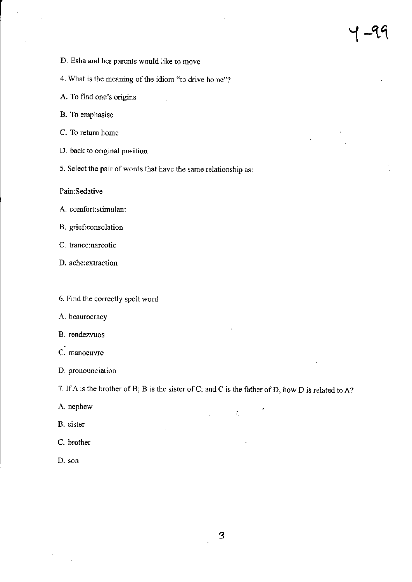$\overline{t}$ 

- D. Esha and her parents would like to move
- 4. What is the meaning of the idiom "to drive home"?
- A. To find one's origins
- B. To emphasise
- C. To retum home
- D. back to original position
- 5. Select the pair of words that have the same relationship as:

Pain:Sedative

- A. comfort:stimulant
- B. grief:consolation
- C. trance:narcotic
- D. ache:extraction
- 6. Find the conectly spelt word
- A. beaurocracy
- B, rendezvuos
- C. manoeuvre
- D. pronounciation

7. If A is the brother of B; B is the sister of C; and C is the father of D, how D is related to A?

 $\mathcal{Z}_\mu$ 

- A. nephew
- B. sister
- C. brother
- D. son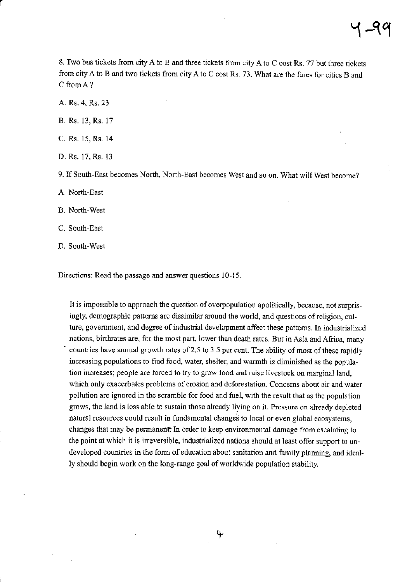8. Two bus tickets ftom cify A to B and three tickets ftom city A to C cost Rs. 77 but thee tickets from city A to B and two tickets from city A to C cost Rs. 73. What are the fares for cities B and C from A?

A. Rs. 4, Rs. 23

B. Rs. 13, Rs. 17

C. Rs. 15, Rs. 14

D. Rs. 17, Rs. <sup>13</sup>

9. If South-East becomes North, North-East becomes West and so on. What will West become?

A. North-East

B. North-West

C. South-East

D. South-West

Directions: Read the passage and answer questions 10-15.

It is impossible to approach the question of overpopulation apolitically, because, not surprisingly, demographic pattems are dissimilar around the world, and questions ofreligion, culture, government, and degree of industrial development affect these patterns. In industrialized nations, birthrates are, for the most part, lower than death rates. But in Asia and Africa, many countries have annual growth rates of 2.5 to 3.5 per cent. The ability of most of these rapidly increasing populations to find food, water, shelter, and warmth is diminished as the population incaeases; people are forced to try to grow food and raise livestock on marginal land, which only exacerbates problems of erosion and deforestation. Concerns about air and water pollution are ignored in the scramble for food and fuel, with the result that as the population grows, the land is less able to sustain those already living on it. Pressure on already depleted natural resources could result in fundamental changes to local or even global ecosystems, changes that may be permanent. In order to keep environmental damage from escalating to the point at which it is irreversible, industrialized nations should at least offer support to undeveloped countries in the form of education about sanitation and family planning, and ideally should begin work on the long-range goal of worldwide population stability.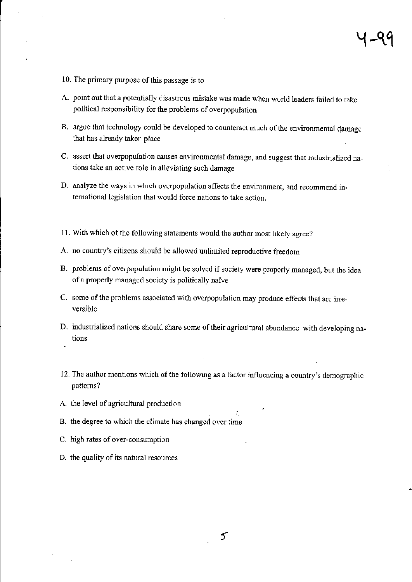- 10. The primary purpose of this passage is to
- A. point out that a potentially disastrous mistake was made when world leaders failed to take political responsibility for the problems of overpopulation
- B. argue that technology could be developed to counteract much of the environmental damage that has already taken place
- C. assert that overpopulation causes environmental damage, and suggest that industrialized na\_ tions take an active role in alleviating such damage
- D. analyze the ways in which overpopulation affects the environment, and recommend intemational legislation that would force nations to take action.
- 11. With which of the following statements would the author most likely agree?
- A. no county's citizens should be allowed unlimited reproductive freedom
- B. problems of overpopulation might be solved if society were properly managed, but the idea ofa properly managed society is politically naive
- C. some of the problems associated with overpopulation may produce effects that are irreversible
- D. industrialized nations should share some of their agricultural abundance with developing nations
- 12. The author mentions which of the following as a factor influencing a country's demographic patterns?
- A. the level of agricultural production
- B. the degree to which the climate has changed over time
- C. high rates of over-consumption
- D. the quality of its natural resources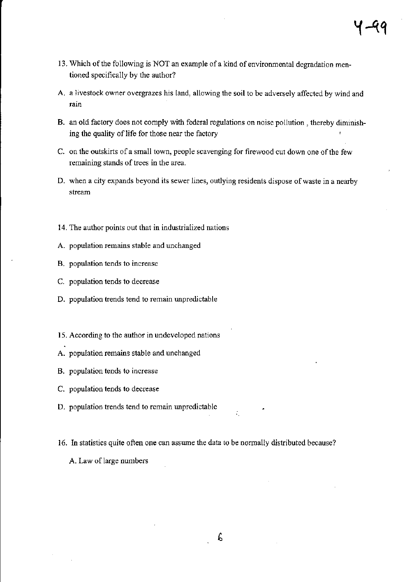- 13. Which of the following is NOT an example of a kind of environmental degradation mentioned specifically by the author?
- A. a livestock owner overgrazes his land, allowing the soil to be adversely affected by wind and rain
- B. an old factory does not comply with federal regulations on noise pollution, thereby diminishing the quality of life for those near the factory
- C. on the outskirts of a small town, people scavenging for firewood cut down one of the few remaining stands of trees in the area.
- D. when a city expands beyond its sewer lines, outlying residents dispose of waste in a nearby stream
- 14. The author points out that in industrialized nations
- A. population remains stable and unchanged
- B. population tends to increase
- C. population tends to decrease
- D. population trends tend to remain unpredictable
- 15. According to the author in undeveloped nations
- A. population remains stable and unchanged
- B. population tends to increase
- C. population tends to decrease
- D. population trends tend to remain unpredictable
- 16. In statistics quite often one can assume the data to be normally distributed because? A. Law of large numbers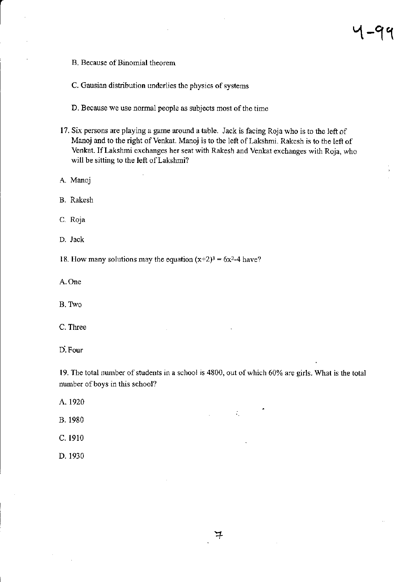B. Because of Binomial theorem

C. Gausian distribution underlies the physics of systems

D. Because we use normal people as subjects most of the time

17. Six persons are playing a game around a table. Jack is facing Roja who is to the left of Manoj and to the right of Venkat. Manoj is to the left of Lakshmi. Rakesh is to the left of Venkat. Iflakshmi exchanges her seat with Rakesh and Venkat exchanges with Roja, who will be sitting to the left of Lakshmi?

A. Manoj

B. Rakesh

c. Roja

D. Jack

18. How many solutions may the equation  $(x+2)^3 = 6x^2-4$  have?

A.One

B. Two

C. Thee

D'. Four

19. The total number of students in a school is 4800, out of which 60% are girls. What is the total number of boys in this school?

 $\mathcal{L}_{\mathcal{L}}$ 

A. 1920

B. 1980

C. 1910

D. 1930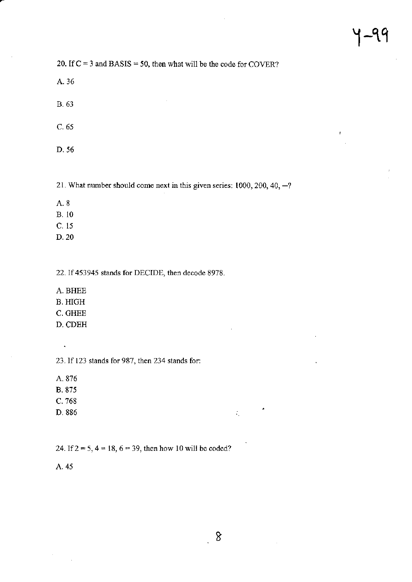$\overline{t}$ 

20. If  $C = 3$  and BASIS = 50, then what will be the code for COVER?

A.36

B.63

c.65

D.56

21. What number should come next in this given series:  $1000$ ,  $200$ ,  $40$ ,  $-?$ 

A.8

B. 10

c. <sup>15</sup>

D.20

22. If 453945 stands for DECIDE, then decode 8978.

A. BHEE

B. HIGH

C. GHEE

D. CDEH

23. If I23 stands for 987, then 234 stands for:

A. 876

 $\ddot{\phantom{a}}$ 

B. 875

c. 768

D.886

24. If  $2 = 5$ ,  $4 = 18$ ,  $6 = 39$ , then how 10 will be coded?

A. 45

 $\mathcal{L}_{\rm{max}}$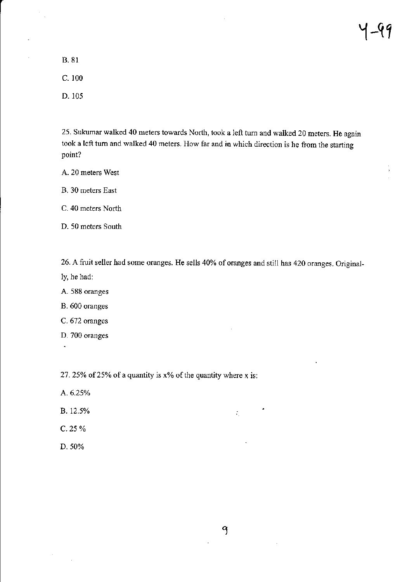**B.** 81

 $C. 100$ 

D. 105

25. Sukumar walked 40 meters towards North, took a left turn and walked 20 meters. He again took a left turn and walked 40 meters. How far and in which direction is he from the starting point?

A. 20 meters West

B. 30 meters East

C. 40 meters North

D. 50 meters South

26. A fruit seller had some oranges. He sells 40% of oranges and still has 420 oranges. Originally, he had:

A. 588 oranges

B. 600 oranges

C. 672 oranges

D. 700 oranges

 $\ddot{\phantom{1}}$ 

27. 25% of 25% of a quantity is  $x$ % of the quantity where x is:

- A. 6.25%
- B. 12.5%
- C. 25 %
- D. 50%

 $\mathcal{L}_1$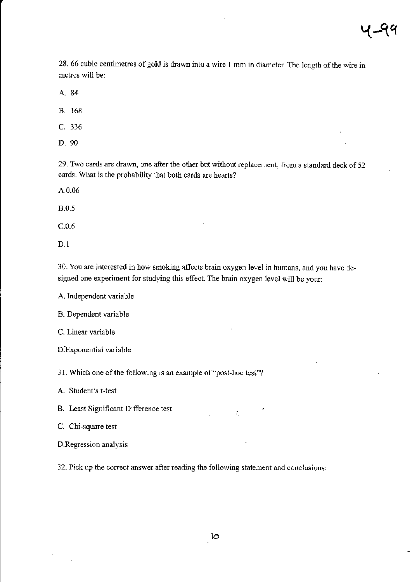$\mathbf{r}$ 

28. 66 cubic centimetres of gold is drawn into a wire 1 mm in diameter. The length of the wire in metres will be:

A. 84

B. <sup>168</sup>

c.336

D. 90

29. Two cards are drawn, one after the other but without replacement, from a standard deck of 52 cards. What is the probability that both cards are hearts?

A.0.06

8.0.5

c.0.6

D.1

30. You arc interested in how smoking affects brain oxygen level in humans, and you have designed one experiment for studying this effect. The brain oxygen level will be your:

A. Independent variable

B. Dependent variable

C. Linear variable

D. Exponential variable

31. Which one of the following is an example of "post-hoc test"?

A. Student's t-test

B. Least Significart Difference test

C. Chi-square test

D.Regression analysis

32. Pick up the conect answer after reading the following statement and conclusions:

 $\mathcal{I}_\mu$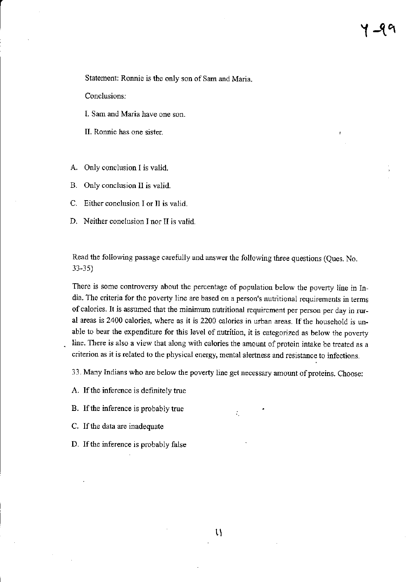Statement: Ronnie is the only son of Sam and Maria.

Conclusions:

- I. Sam and Maria have one son.
- II. Ronnie has one sister
- A. Only conclusion I is valid.
- B. Only conclusion lI is valid.
- Either conclusion I or II is valid. C.
- D. Neither conclusion I nor II is valid

Read the following passage carefully and answer the following three questions (Ques. No. 33-35)

There is some controversy about the percentage of population below the poverty line in India. The criteria for the poverty line are based on a person's nutritional requirements in terms of calories. It is assumed that the minimum nutritional requirement per person per day in rural areas is 2400 calories, where as it is 2200 calories in urban areas. If the household is unable to bear the expenditure for this level of nutrition, it is categorized as below the poverty line. There is also a view that along with calories the amount of protein intake be treated as a criterion as it is related to the physical energy, mental alertness and resistance to infections.

33. Many Indians who are below the poverty line get necessary amount of proteins. Choose:

÷,

A. If the inference is definitely true

B. If the inference is probably true

- C. If the data are inadequate
- D. If the inference is probably false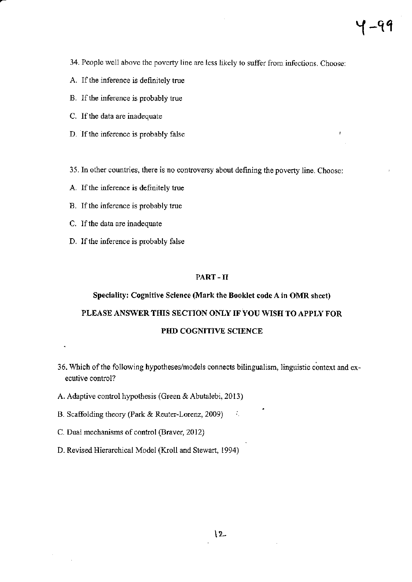$\overline{t}$ 

- 34. People well above the poverty line are less likely to suffer from infections. Choose:
- A. If the inference is definitely true
- B. If the inference is probably true
- C. If the data are inadequate
- D. If the inference is probably false
- 35. In other countries, there is no controversy about defining the poverty line. Choose:
- A. If the inference is definitely true
- B. If the inference is probably true
- C. If the data are inadequate
- D. If the inference is probably false

#### PART-II

# Speciality: Cognitive Science (Mark the Booklet code A in OMR sheet) PLEASE ANSWER THIS SECTION ONLY IF YOU WISH TO APPLY FOR PHD COGNITIVE SCIENCE

36. Which of the following hypotheses/models connects bilingualism, linguistic context and executive control?

A.

- A. Adaptive control hypothesis (Green & Abutalebi, 2013)
- B. Scaffolding theory (Park & Reuter-Lorenz, 2009)
- C. Dual mechanisms of control (Braver, 2012)
- D. Revised Hierarchical Model (Kroll and Stewart, 1994)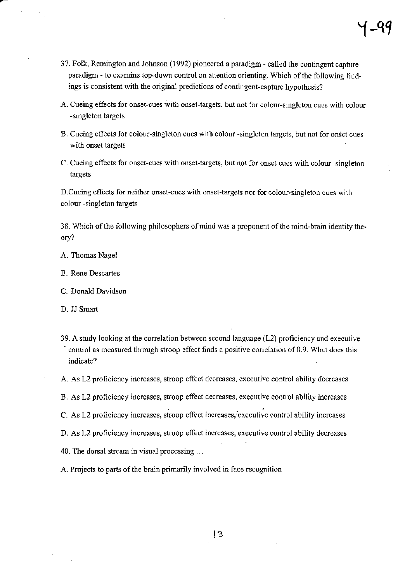- 37. Folk, Remington and Johnson (1992) pioneered a paradigm called the contingent capture paradigm - to examine top-down control on attention orienting. Which of the following findings is consistent with the original predictions of contingent-capture hypothesis?
- A. Cueing effects for onset-cues with onset-targets, but not for colour-singleton cues with colour -singleton targets
- B. Cueing effects for colour-singleton cues with colour -singleton taryets, but not for onset cues with onset targets
- C. Cueing effects for onset-cues with onset-targets, but not for onset cues with colour -singleton targets

D. Cueing effects for neither onset-cues with onset-targets nor for colour-singleton cues with colour -singleton targets

38. Which of the following philosophers of mind was a proponent of the mind-brain identity theory?

A. Thomas Nagel

 $\bar{z}$ 

- B. Rene Descartes
- C. Donald Davidson

D. JJ Smart

- 39. A study looking at the corelation between second language (L2) proficiency and executive ontrol as measured through stroop effect finds a positive correlation of 0.9. What does this indicate?
- A. As L2 proficiency increases, stroop effect decreases, executive control ability decreases
- B. As L2 proficiency increases, stroop effect decreases, executive control ability increases
- C. As L2 proficiency increases, stroop effect increases, executive control ability increases
- D. As L2 proficiency increases, stroop effect increases, executive control ability decreases
- 40. The dorsal stream in visual processing ...
- A. Projects to parts of the brain primarily involved in face recognition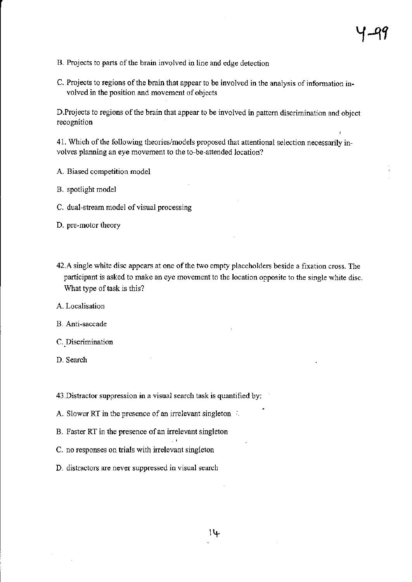- B. Projects to parts of the brain involved in line and edge detection
- C. Projects to regions of the brain that appear to be involved in the analysis of information involved in the position and movement of objects

D.Projects to regions of the brain that appear to be involved in pattern discrimination and object recognition

41. Which of the following theories/models proposed that attentional selection necessarily involves planning an eye movement to the to-be-attended location?

- A. Biased competition model
- B. spotlight model
- C. dual-stream model of visual processing

D. pre-motor theory

42.A single white disc appears at one of the two empty placeholders beside a fixation cross. The participant is asked to make an eye movement to the location opposite to the single white disc. What type of task is this?

A. Localisation

B. Anti-saccade

- C. Discrimination
- D. Search

<sup>43</sup>.Distractor suppression in a visual search task is quantified by:

- A. Slower RT in the presence of an irrelevant singleton  $\therefore$
- B. Faster RT in the presence of an irrelevant singleton
- C. no responses on trials with irrelevant singleton
- D. distractors are never suppressed in visual search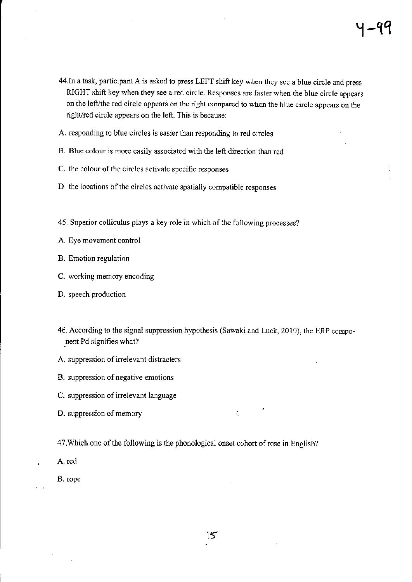$\mathbf{r}$ 

- 44. In a task, participant A is asked to press LEFT shift key when they see a blue circle and press RIGHT shift key when they see a red circle. Responses are faster when the blue circle appears on the left/the red circle appears on the right compared to when the blue circle appears on the right/red circle appears on the left. This is because:
- A. responding to blue circles is easier than responding to red circles
- B. Blue colour is more easily associated with the left direction than red
- C. the colour of the circles activate specific responses
- D. the locations of the circles activate spatially compatible responses
- 45. Superior colliculus plays a key role in which of the following processes?
- A. Eye movement control
- B. Emotion regulation
- C. working memory encoding
- D. speech production
- 46. According to the signal suppression hypothesis (Sawaki and Luck, 2010), the ERP component Pd signifies what?
- A. suppression of irrelevant distracters
- B. suppression of negative emotions
- C. suppression of irrelevant language
- D. suppression of memory is  $\mathcal{L}$
- 47. Which one of the following is the phonological onset cohort of rose in English?
- A. red

,

B. rope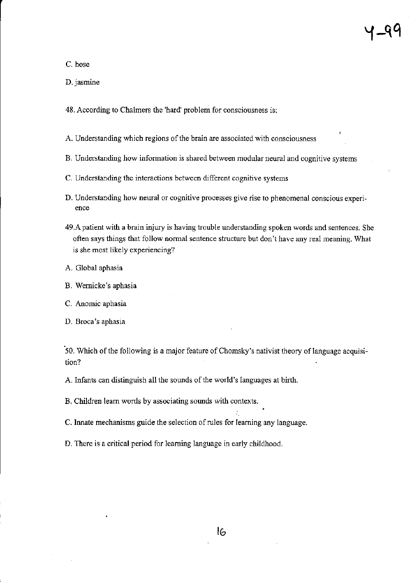C. hose

D. jasmine

48. According to Chalmers the 'hard' problem for consciousness is:

A. Understanding which regions of the brain are associated with consciousness

- B. Understanding how information is shared between modular neural and cognitive systems
- C. Understanding the interactions between different cognitive systems
- D. Understanding how neural or cognitive processes give rise to phenomenal conscious experienc€
- 49.A patient with a brain injury is having trouble understanding spoken words and sentences. She often says things that follow normal sentence structure but don't have any real meaning. What is she most likely experiencing?
- A. Global aphasia
- B. Wemicke's aphasia
- C. Anomic aphasia

D. Broca's aphasia

50. Which of the following is a major feature of Chomsky's nativist theory of language acquisition?

,

j

A. Infants can distinguish all the sounds of the world's languages at birth.

B. Children leam words by associating sounds with contexts.

C. Innate mechanisms guide the selection of rules for learning any language.

D. There is a critical period for learning language in early childhood.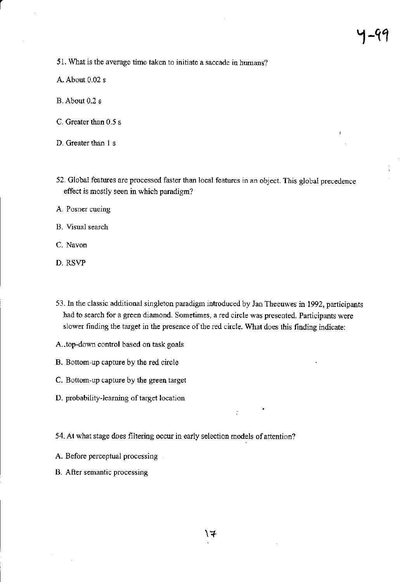$\mathbf{r}$ 

51. What is the average time taken to initiate a saccade in humans?

- A. About 0.02 <sup>s</sup>
- B. About 0.2 s
- C. Greater than 0.5 s
- D. Greater than I s
- 52. Global feafures are processed faster than local features in an object. This global precedence effect is mostly seen in which paradigm?
- A. Posner cueing
- B. Visual search
- C. Navon
- D. RSVP
- 53. In the classic additional singleton paradigm introduced by Jan Theeuwes in 1992, participants had to search for a green diamond. Sometimes, a red circle was presented. participants were slower finding the target in the presence of the red circle. What does this finding indicate:

 $\ddot{\cdot}$ 

- A..top-down control based on task goals
- B. Bottom-up capture by the red circle
- C. Bottom-up capture by the green target
- D. probability-learning of target location
- 54. At what stage does filtering occur in early selection models of attention?
- A. Before perceptual processing
- B. After semantic processing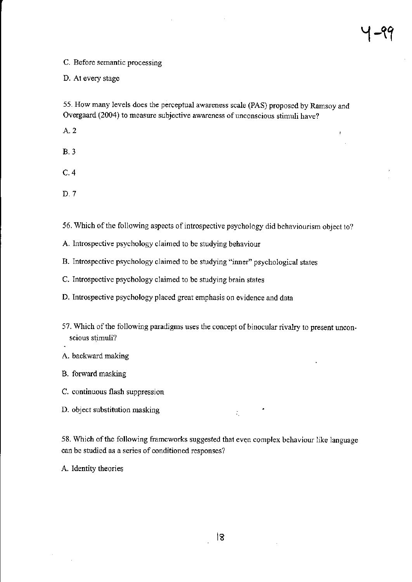$\bar{t}$ 

#### C. Before semantic processing

D. At every stage

55. How many levels does the perceptual awareness scale (pAS) proposed by Ramsoy and Overgaard (2004) to measure subjective awareness of unconscious stimuli have?

4.2

8.3

c.4

D.7

56. Which of the following aspects of introspective psychology did behaviourism object to?

A. lntrospective psychology claimed to be studying behaviour

B. Introspective psychology claimed to be studying "inner" psychological states

C. lntrospective psychology claimed to be studying brain states

D. Introspective psychology placed great emphasis on evidence and data

- 57. Which of the following paradigms uses the concept of binocular rivalry to present unconscious stimuli?
- A. backward making

B. forward masking

C. continuous flash suppression

D. object substitution masking

58. Which of the following frameworks suggested that even complex behaviour like language can be studied as a series of conditioned responses?

 $\mathcal{I}_1$  .

A. Identity theories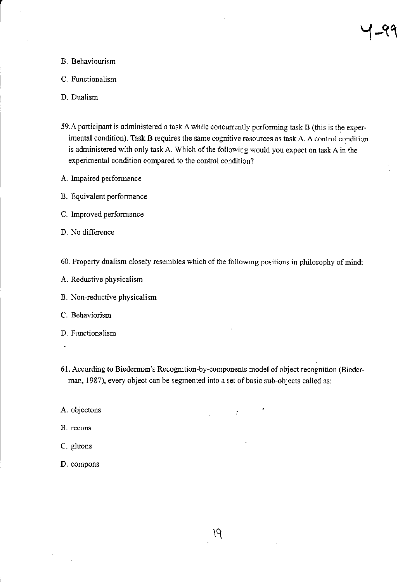#### B. Behaviourism

- C. Functionalism
- D. Dualism
- 59.A participant is administered a task A while concurrently performing task B (this is the experimental condition). Task B requires the same cognitive resoutces as task A. A control condition is administered with only task A. Which of the following would you expect on task A in the experimental condition compared to the control condition?
- A. lmpaired performance
- B. Equivalent performance
- C. lmproved performance
- D. No difference
- 60. Property dualism closely resembles which of the following positions in philosophy of mind:
- A. Reductive physicalism
- B. Non-reductive physicalism
- C. Behaviorism
- D. Functionalism
- ł.
- 61. According to Biederman's Recognition-by-components model of object recognition (Biederman, 1987), every object can be segmented into a set of basic sub-objects called as:

 $\ddot{\phantom{a}}$ 

- A. objectons
- B. recons
- C. gluons
- D. compons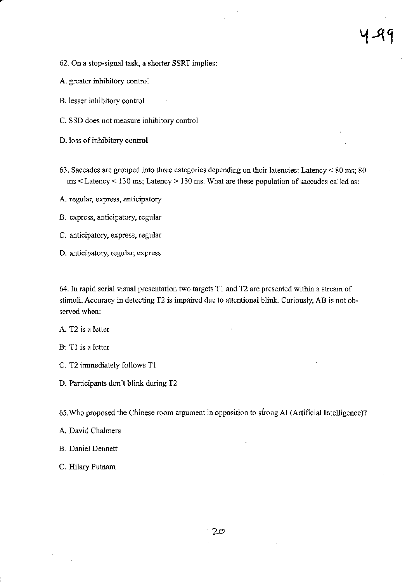$\mathbf{r}$ 

- 62. On a stop-signal task, a shorter SSRT implies:
- A. greater inhibitory control
- B. lesser inhibitory control
- C. SSD does not measure inhibitory control
- D. loss of inhibitory control
- 63. Saccades are grouped into three categories depending on their latencies: Latency  $< 80$  ms; 80 ms < Latency < 130 ms; Latency > 130 ms. What are these population of saccades called as:
- A, regular, express, anticipatory
- B. express, anticipatory, regular
- C. anticipatory, express, regular
- D. anticipatory, regular, express

64. In rapid serial visual presentation two targets T1 and T2 are presented within a stream of stimuli. Accuracy in detecting T2 is impaired due to attentional blink. Curiously, AB is not observed when:

A. T2 is a letter

- B: T1 is a letter
- C. T2 immediately follows T1
- D. Participants don't blink during T2

65. Who proposed the Chinese room argument in opposition to strong AI (Artificial Intelligence)?

- A. David Chalmers
- B. Daniel Dennett
- C. Hilary Putnam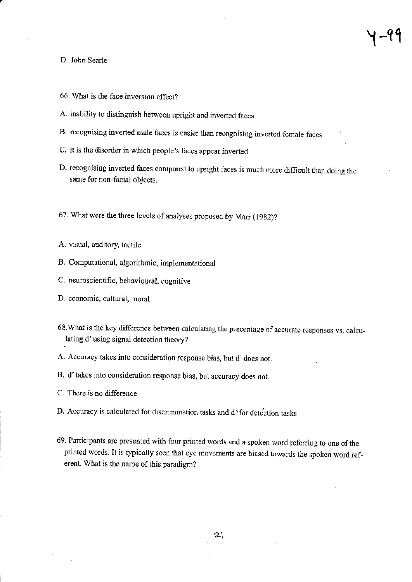#### D. John Searle

- 66. What is the face inversion effect?
- A. inability to distinguish between upright and inverted faces
- B. recognising inverted male faces is easier than recognising inverted female faces
- C. it is the disorder in which people's faces appear inverted
- D. recognising inverted faces compared to upright faces is much more difficult than doing the same for non-facial objects.
- 67. What were the three levels of analyses proposed by Marr  $(1982)$ ?
- A. visual, auditory, tactile
- B. Computational, algorithmic, implementational
- C. neuroscientific, behavioural, cognitive
- D. economic, cultural, moral
- 68. What is the key difference between calculating the percentage of accurate responses vs. calculating d'using signal detection theory?
- A. Accuracy takes into consideration response bias, but d' does not.
- B. d'takes into consideration response bias, but accuracy does not.
- C. There is no difference
- D. Accuracy is calculated for discrimination tasks and d'for detection tasks
- 69. Participants are presented with four printed words and a spoken word referring to one of the printed words. It is typically seen that eye movements are biased towards the spoken word referent. What is the name of this paradigm?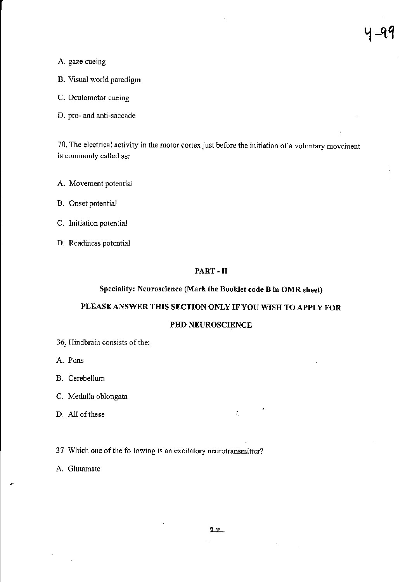- A. gaze cueing
- B. Visual world paradigm
- C. Oculomotor cueing
- D. pro- and anti-saccade

70. The electrical activity in the motor cortex just before the initiation of a voluntary movement is commonly called as:

- A. Movement potential
- B. Onset potential
- C. Initiation potential
- D. Readiness potential

#### PART-II

### Speciality: Neuroscience (Mark the Booklet code B in OMR sheet)

#### PLEASE ANSWER THIS SECTION ONLY IF YOU WISH TO APPLY FOR

#### PHD NEUROSCIENCE

- 36. Hindbrain consists of the:
- A. Pons
- B. Cerebellum
- C. Medulla oblongata
- D. All of these
- 37. Which one of the following is an excitatory neurotransmitter?
- A. Glutamate

÷.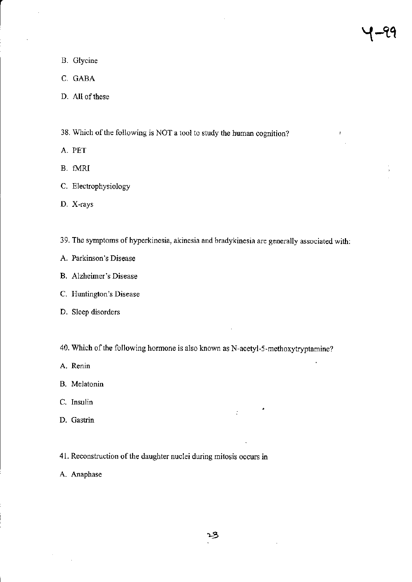J.

- B. Glycine
- C, GABA
- D. All of these
- 38. Which of the following is NOT a tool to study the human cognition?
- A. PET
- B. fI4RI
- C. Electrophysiology
- D. X-rays
- 39. The symptoms of hyperkinesia, akinesia and bradykinesia are generally associated with:
- A. Parkinson's Disease
- B. Alzheimer's Disease
- C. Huntington's Disease
- D. Sleep disorders
- 40. Which of the following hormone is also known as N-acetyl-5-methoxytryptamine?
- A. Renin
- B. Melatonin
- C. Insulin
- D. Gastrin
- 41. Reconstruction of the daughter nuclei during mitosis occurs in
- A. Anaphase

 $\ddot{\cdot}$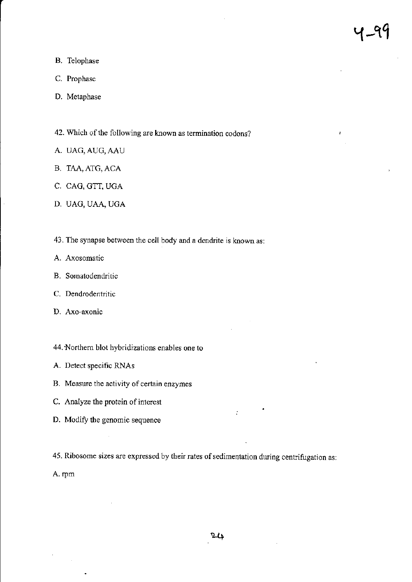ł

- B. Telophase
- C. Prophase
- D. Metaphase
- 42. Which of the following are known as termination codons?
- A. UAG, AUG, AAU
- B. TAA, ATG, ACA
- C. CAG, GTT, UGA
- D. UAG, UAA, UGA
- 43. The synapse between the cell body and a dendrite is known as:
- A. Axosomatic
- B. Somatodendritic
- C. Dendrodentritic
- D. Axo-axonic
- 44. Northern blot hybridizations enables one to
- A. Detect specific RNAs
- B. Measure the activity of certain enzymes
- C. Analyze the protein of interest
- D. Modify the genomic sequence
- 45. Ribosome sizes are expressed by their rates of sedimentation during centrifugation as:

A. rpm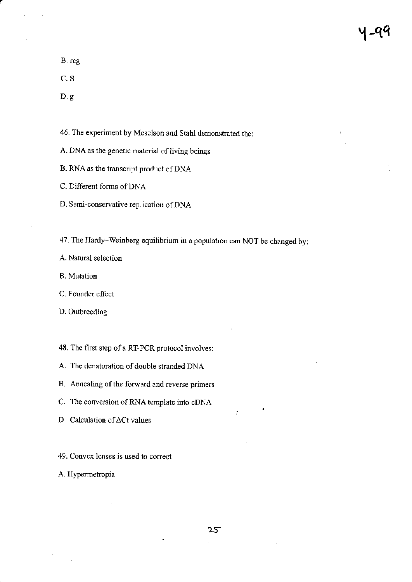|-99

 $\overline{1}$ 

B. rcg

C.S

D.g

46. The experiment by Meselson and Stahl demonstrated the:

- A. DNA as the genetic material of living beings
- B. RNA as the transcript product of DNA
- C. Different forms of DNA
- D. Semi-conservative replication of DNA

47. The Hardy-Weinberg equilibrium in a population can NOT be changed by:

A. Natural selection

B. Mutation

C. Founder effect

D. Outbreeding

48. The first step of a RT-PCR protocol involves:

- A. The denatwation of double stranded DNA
- B. Annealing of the forward and reverse primers
- C. The conversion of RNA template into cDNA
- D. Calculation of  $\Delta$ Ct values
- 49. Convex lenses is used to correct

A. Hypemetropia

 $\ddot{\cdot}$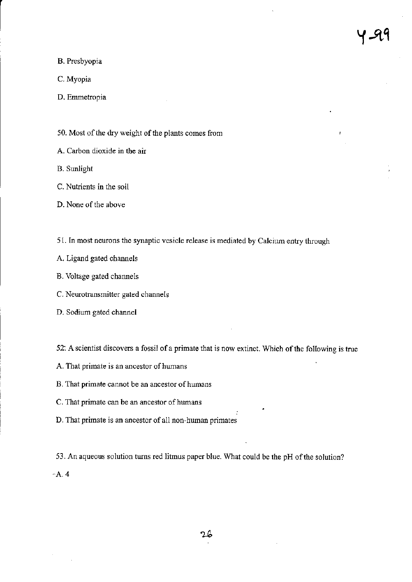B. Presbyopia

C. Myopia

D. Emmetropia

50. Most of the dry weight of the plants comes from

A. Carbon dioxide in the air

**B.** Sunlight

C. Nutrients in the soil

D. None of the above

51. In most neurons the synaptic vesicle release is mediated by Calcium entry through

A. Ligand gated channels

B. Voltage gated channels

C. Neurotransmitter gated channels

D. Sodium gated channel

52. A scientist discovers a fossil of a primate that is now extinct. Which of the following is true

A. That primate is an ancestor of humans

B. That primate cannot be an ancestor of humans

C. That primate can be an ancestor of humans

D. That primate is an ancestor of all non-human primates

53. An aqueous solution turns red litmus paper blue. What could be the pH of the solution?  $-A.4$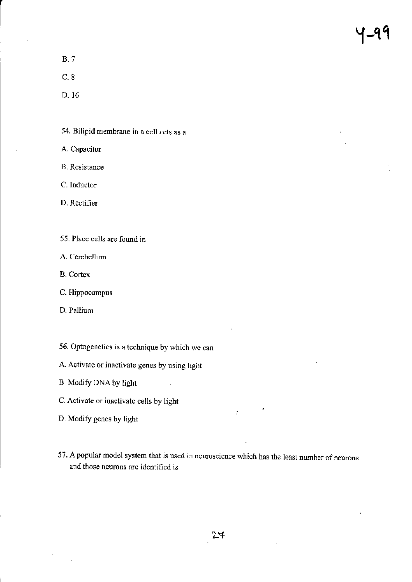8.7

c.8

D- 16

54. Bilipid membrane in a cell acts as a

A. Capacitor

B. Resistance

C. Inductor

D. Rectifier

55. Place cells are found in

A. Cerebellum

B. Cortex

C. Hippocampus

D. Pallium

55. Optogenetics is a technique by which we can

A. Activate or inactivate genes by using light

B. Modify DNA by light

C. Activate or inactivate cells by light

D. Modify genes by light

57. A popular model system that is used in neuroscience which has the least number of neurons and those neurons are identified is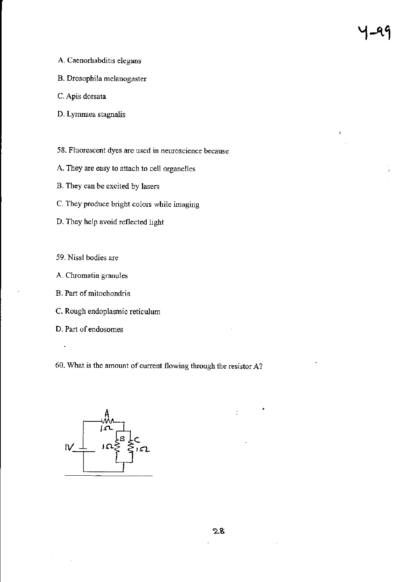- A. Caenorhabditis elegans
- B. Drcsophila melanogaster
- C. Apis dorsata
- D. Lymnaea stagnalis
- 58. Fluorescent dyes are used in neuroscience because
- A. They are easy to attach to cell organelles
- B. They can be excited by lasers
- C. They produce bright colors while imaging
- D. They help avoid reflected light
- 59. Nissl bodies are
- A. Chromatin granules
- B, Part of mitochondria
- C. Rough endoplasmic reticulum
- D. Part of endosomes
- 60. What is the amount of current flowing through the resistor A?

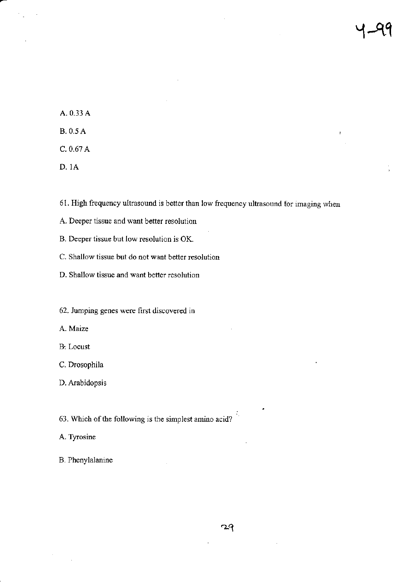A.0.33 A B.0.sA  $C. 0.67 A$ 

D. 1A

6l. High frequency ultrasound is better than low frequency ultrasound for imaging when

A. Deeper tissue and want better resolution

B. Deeper tissue but low resolution is OK.

C. Shallow tissue but do not want better resolution

D. Shallow tissue and want better resolution

62. Jumping genes were first discovered in

A. Maize

B: Locust

C. Drosophila

D. Arabidopsis

63. Which of the following is the simplest amino acid?

A. Tyrosine

B. Phenylalanine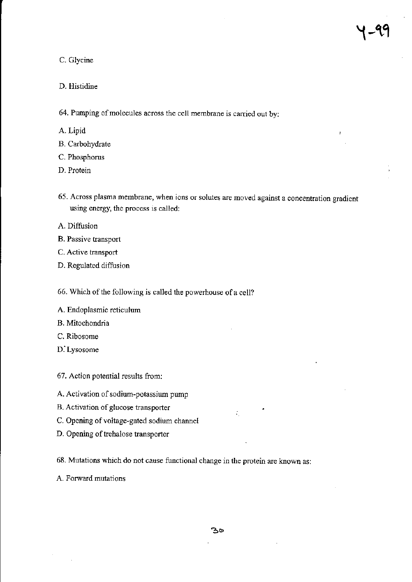Ï

#### C. Glycine

#### D. Histidine

64. Pumping of molecules across the cell membrane is carried out by:

- A. Lipid
- B. Carbohydrate
- C. Phosphorus
- D. Protein
- 65. Across plasma membrane, when ions or solutes are moved against a concentration gradient using energy, the process is called:
- A. Diffusion
- B. Passive transport
- C. Active transport
- D. Regulated diffusion

66. Which of the following is called the powerhouse of a cell?

- A. Endoplasmic reticulum
- B. Mitochondria
- C. Ribosome
- D.'Lysosome

67. Action potential results from:

- A. Activation of sodium-potassium pump
- B. Activation of glucose transporter
- C. Opening of voltage-gated sodium channel
- D. Opening of trehalose transporter

68. Mutations which do not cause fimctional change in the protein arc known as:

A. Forward mutations

÷.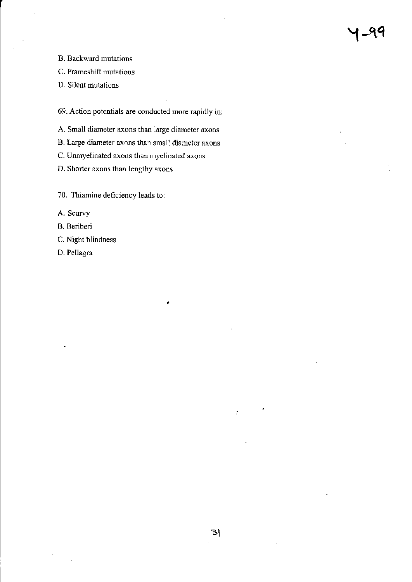B. Backward mutations

C. Frameshift mutations

D. Silent mutations

69. Action potentials are conducted more mpidly in:

A. Small diameter axons than large diameter axons

B. Large diameter axons than small diameter axons

C- Unmyelinated axons than myelinated axons

D. Shorter axons than lengthy axons

?0. Thiamine deficiency leads tor

A. Scurvy

B. Beriberi

C. Night blindness

D. Pellagra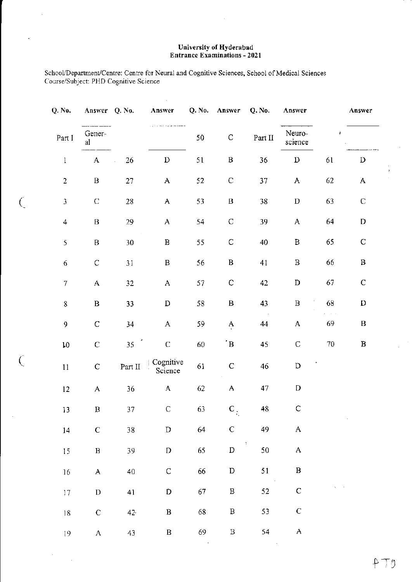# **University of Hyderabad**<br>Entrance Examinations - 2021

School/Department/Centre: Centre for Neural and Cognitive Sciences, School of Medical Sciences Course/Subject: PHD Cognitive Science

÷,

 $\bar{z}$ 

 $\zeta$ 

 $\overline{C}$ 

| Q. No.            | Answer Q. No. |              | Answer               | Q. No. | Answer                    | Q. No.           | Answer                    |               | Answer       |
|-------------------|---------------|--------------|----------------------|--------|---------------------------|------------------|---------------------------|---------------|--------------|
| Part I            | Gener-<br>al  |              |                      | 50     | $\mathbf C$               | Part $\rm II$    | Neuro-<br>science         | $\pmb{\cdot}$ |              |
| $\bf{l}$          | $\mathbf{A}$  | 26<br>$\Box$ | $\mathbf D$          | 51     | B                         | 36               | $\mathbf D$               | 61            | $\mathbf D$  |
| $\overline{2}$    | $\, {\bf B}$  | 27           | $\mathbf A$          | 52     | $\mathbf C$               | 37               | $\mathbf{A}$              | 62            | A            |
| $\mathfrak{Z}$    | ${\bf C}$     | 28           | A                    | 53     | $\, {\bf B}$              | 38               | $\mathbf D$               | 63            | $\mathbf C$  |
| $\overline{4}$    | $\, {\bf B}$  | 29           | A                    | 54     | ${\mathsf C}$             | 39               | $\boldsymbol{\mathsf{A}}$ | 64            | $\mathbf D$  |
| 5                 | $\, {\bf B}$  | 30           | $\, {\bf B}$         | 55     | $\mathsf C$               | 40               | $\, {\bf B}$              | 65            | ${\bf C}$    |
| 6                 | $\mathsf C$   | 31           | $\, {\bf B}$         | 56     | $\, {\bf B}$              | 41               | $\, {\bf B}$              | 66            | $\, {\bf B}$ |
| $\boldsymbol{7}$  | $\mathbf A$   | 32           | A                    | 57     | $\mathsf C$               | 42               | $\mathbf D$               | 67            | $\mathsf C$  |
| $8\,$             | $\, {\bf B}$  | 33           | $\mathbf D$          | 58     | $\, {\bf B}$              | 43               | $\, {\bf B}$              | 68            | $\mathbf D$  |
| 9                 | $\mathsf C$   | 34           | A                    | 59     | A                         | 44               | A                         | 69            | $\, {\bf B}$ |
| ${\tt l0}$        | $\mathsf C$   | 35           | $\mathsf C$          | 60     | $\cdot$ B                 | 45               | $\mathsf C$               | $70\,$        | $\, {\bf B}$ |
| $11\,$            | $\mathsf C$   | Part II      | Cognitive<br>Science | 61     | $\mathbf C$               | 46               | $\mathbf D$               |               |              |
| $12 \overline{ }$ | A             | 36           | $\mathbf{A}$         | 62     | $\boldsymbol{\mathsf{A}}$ | 47               | $\mathbf D$               |               |              |
| $13\,$            | B             | 37           | $\mathsf C$          | 63     | ${\bf C}$ .               | 48               | $\mathsf C$               |               |              |
| 14                | $\mathsf C$   | $38\,$       | $\mathbb D$          | 64     | $\mathbf C$               | 49               | $\mathbf A$               |               |              |
| 15                | $\, {\bf B}$  | 39           | ${\bf D}$            | 65     | $\mathbf D$               | $\sim 3\%$<br>50 | $\mathbf{A}$              |               |              |
| 16                | A             | 40           | $\mathsf C$          | 66     | ${\bf D}$                 | 51               | $\mathbf{B}$              |               |              |
| $17\,$            | $\mathbf D$   | 41           | D                    | 67     | $\, {\bf B} \,$           | 52               | $\mathbf C$               |               |              |
| $18\,$            | ${\bf C}$     | $42 -$       | $\, {\bf B}$         | 68     | $\, {\bf B}$              | 53               | $\mathsf C$               |               |              |
| 19                | $\mathbf{A}$  | 43           | $\, {\bf B}$         | 69     | $\, {\bf B}$              | 54               | $\mathbf A$               |               |              |